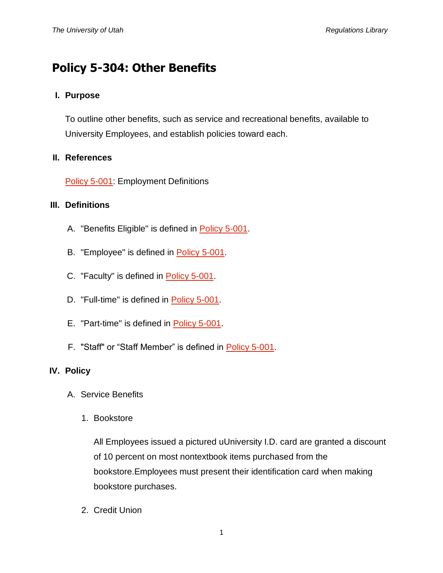# **Policy 5-304: Other Benefits**

## **I. Purpose**

To outline other benefits, such as service and recreational benefits, available to University Employees, and establish policies toward each.

### **II. References**

[Policy 5-001:](http://regulations.utah.edu/human-resources/5-001.php) Employment Definitions

#### **III. Definitions**

- A. "Benefits Eligible" is defined in [Policy 5-001.](http://regulations.utah.edu/human-resources/5-001.php)
- B. "Employee" is defined in [Policy 5-001.](http://regulations.utah.edu/human-resources/5-001.php)
- C. "Faculty" is defined in [Policy 5-001.](http://regulations.utah.edu/human-resources/5-001.php)
- D. "Full-time" is defined in [Policy 5-001.](http://regulations.utah.edu/human-resources/5-001.php)
- E. "Part-time" is defined in [Policy 5-001.](http://regulations.utah.edu/human-resources/5-001.php)
- F. "Staff" or "Staff Member" is defined in [Policy 5-001.](http://regulations.utah.edu/human-resources/5-001.php)

## **IV. Policy**

- A. Service Benefits
	- 1. Bookstore

All Employees issued a pictured uUniversity I.D. card are granted a discount of 10 percent on most nontextbook items purchased from the bookstore.Employees must present their identification card when making bookstore purchases.

2. Credit Union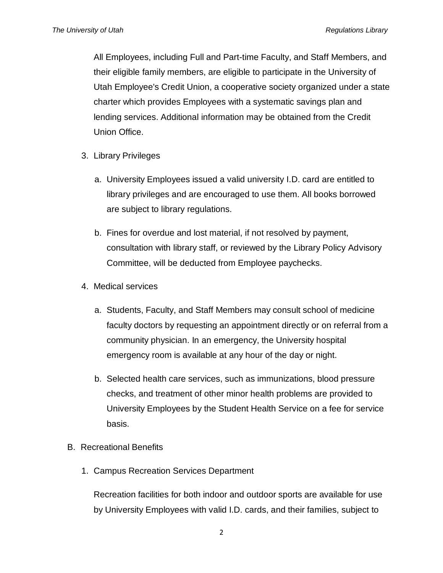All Employees, including Full and Part-time Faculty, and Staff Members, and their eligible family members, are eligible to participate in the University of Utah Employee's Credit Union, a cooperative society organized under a state charter which provides Employees with a systematic savings plan and lending services. Additional information may be obtained from the Credit Union Office.

- 3. Library Privileges
	- a. University Employees issued a valid university I.D. card are entitled to library privileges and are encouraged to use them. All books borrowed are subject to library regulations.
	- b. Fines for overdue and lost material, if not resolved by payment, consultation with library staff, or reviewed by the Library Policy Advisory Committee, will be deducted from Employee paychecks.
- 4. Medical services
	- a. Students, Faculty, and Staff Members may consult school of medicine faculty doctors by requesting an appointment directly or on referral from a community physician. In an emergency, the University hospital emergency room is available at any hour of the day or night.
	- b. Selected health care services, such as immunizations, blood pressure checks, and treatment of other minor health problems are provided to University Employees by the Student Health Service on a fee for service basis.
- B. Recreational Benefits
	- 1. Campus Recreation Services Department

Recreation facilities for both indoor and outdoor sports are available for use by University Employees with valid I.D. cards, and their families, subject to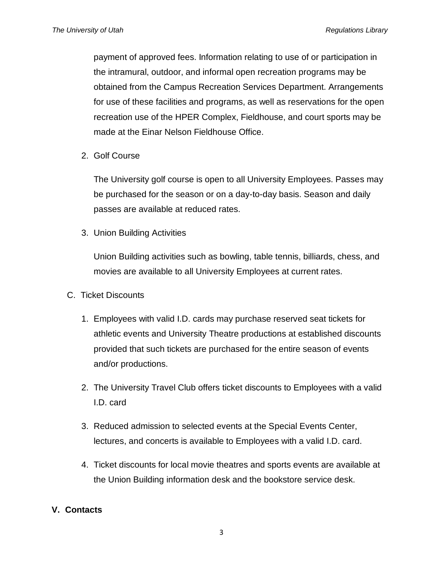payment of approved fees. Information relating to use of or participation in the intramural, outdoor, and informal open recreation programs may be obtained from the Campus Recreation Services Department. Arrangements for use of these facilities and programs, as well as reservations for the open recreation use of the HPER Complex, Fieldhouse, and court sports may be made at the Einar Nelson Fieldhouse Office.

2. Golf Course

The University golf course is open to all University Employees. Passes may be purchased for the season or on a day-to-day basis. Season and daily passes are available at reduced rates.

3. Union Building Activities

Union Building activities such as bowling, table tennis, billiards, chess, and movies are available to all University Employees at current rates.

- C. Ticket Discounts
	- 1. Employees with valid I.D. cards may purchase reserved seat tickets for athletic events and University Theatre productions at established discounts provided that such tickets are purchased for the entire season of events and/or productions.
	- 2. The University Travel Club offers ticket discounts to Employees with a valid I.D. card
	- 3. Reduced admission to selected events at the Special Events Center, lectures, and concerts is available to Employees with a valid I.D. card.
	- 4. Ticket discounts for local movie theatres and sports events are available at the Union Building information desk and the bookstore service desk.

## **V. Contacts**